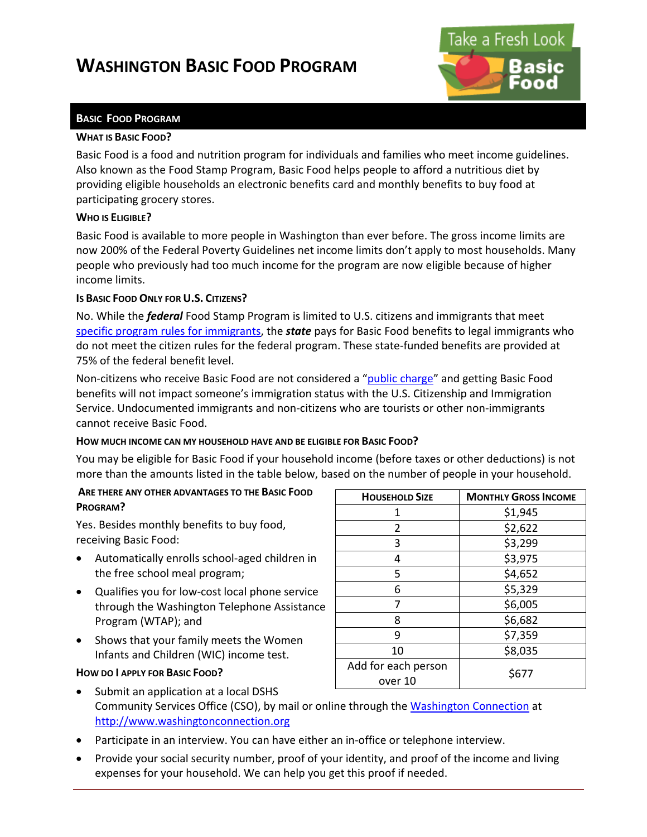# **WASHINGTON BASIC FOOD PROGRAM**



# **BASIC FOOD PROGRAM**

### **WHAT IS BASIC FOOD?**

Basic Food is a food and nutrition program for individuals and families who meet income guidelines. Also known as the Food Stamp Program, Basic Food helps people to afford a nutritious diet by providing eligible households an electronic benefits card and monthly benefits to buy food at participating grocery stores.

### **WHO IS ELIGIBLE?**

Basic Food is available to more people in Washington than ever before. The gross income limits are now 200% of the Federal Poverty Guidelines net income limits don't apply to most households. Many people who previously had too much income for the program are now eligible because of higher income limits.

# **IS BASIC FOOD ONLY FOR U.S. CITIZENS?**

No. While the *federal* Food Stamp Program is limited to U.S. citizens and immigrants that meet [specific program rules](http://www.dshs.wa.gov/manuals/eaz/sections/CitizenshipAndAlienStatus/CitizenshipImmEligResFedFundWaBasicFood.shtml) for immigrants, the *state* pays for Basic Food benefits to legal immigrants who do not meet the citizen rules for the federal program. These state-funded benefits are provided at 75% of the federal benefit level.

Non-citizens who receive Basic Food are not considered a ["public charge"](http://www.uscis.gov/files/pressrelease/Public.pdf) and getting Basic Food benefits will not impact someone's immigration status with the U.S. Citizenship and Immigration Service. Undocumented immigrants and non-citizens who are tourists or other non-immigrants cannot receive Basic Food.

# **HOW MUCH INCOME CAN MY HOUSEHOLD HAVE AND BE ELIGIBLE FOR BASIC FOOD?**

You may be eligible for Basic Food if your household income (before taxes or other deductions) is not more than the amounts listed in the table below, based on the number of people in your household.

# **ARE THERE ANY OTHER ADVANTAGES TO THE BASIC FOOD PROGRAM?**

Yes. Besides monthly benefits to buy food, receiving Basic Food:

- Automatically enrolls school-aged children in the free school meal program;
- Qualifies you for low-cost local phone service through the Washington Telephone Assistance Program (WTAP); and
- Shows that your family meets the Women Infants and Children (WIC) income test.

# **HOW DO I APPLY FOR BASIC FOOD?**

| <b>HOUSEHOLD SIZE</b>          | <b>MONTHLY GROSS INCOME</b> |
|--------------------------------|-----------------------------|
| 1                              | \$1,945                     |
| 2                              | \$2,622                     |
| 3                              | \$3,299                     |
| 4                              | \$3,975                     |
| 5                              | \$4,652                     |
| 6                              | \$5,329                     |
| 7                              | \$6,005                     |
| 8                              | \$6,682                     |
| 9                              | \$7,359                     |
| 10                             | \$8,035                     |
| Add for each person<br>over 10 | \$677                       |

- Submit an application at a local DSHS Community Services Office (CSO), by mail or online through the [Washington Connection](http://www.washingtonconnection.org/) at [http://www.washingtonconnection.org](http://www.washingtonconnection.org/)
- Participate in an interview. You can have either an in-office or telephone interview.
- Provide your social security number, proof of your identity, and proof of the income and living expenses for your household. We can help you get this proof if needed.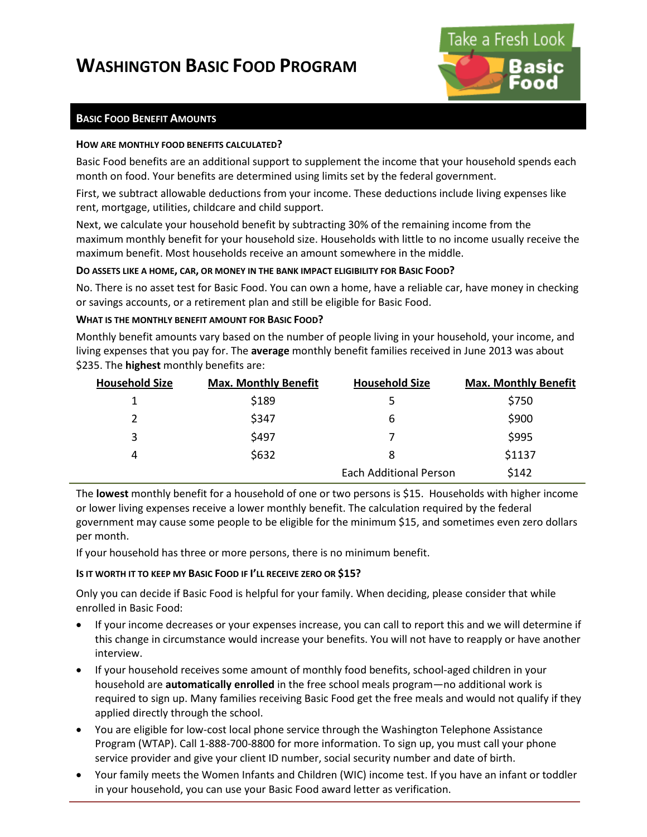# **WASHINGTON BASIC FOOD PROGRAM**



# **BASIC FOOD BENEFIT AMOUNTS**

### **HOW ARE MONTHLY FOOD BENEFITS CALCULATED?**

Basic Food benefits are an additional support to supplement the income that your household spends each month on food. Your benefits are determined using limits set by the federal government.

First, we subtract allowable deductions from your income. These deductions include living expenses like rent, mortgage, utilities, childcare and child support.

Next, we calculate your household benefit by subtracting 30% of the remaining income from the maximum monthly benefit for your household size. Households with little to no income usually receive the maximum benefit. Most households receive an amount somewhere in the middle.

# **DO ASSETS LIKE A HOME, CAR, OR MONEY IN THE BANK IMPACT ELIGIBILITY FOR BASIC FOOD?**

No. There is no asset test for Basic Food. You can own a home, have a reliable car, have money in checking or savings accounts, or a retirement plan and still be eligible for Basic Food.

### **WHAT IS THE MONTHLY BENEFIT AMOUNT FOR BASIC FOOD?**

Monthly benefit amounts vary based on the number of people living in your household, your income, and living expenses that you pay for. The **average** monthly benefit families received in June 2013 was about \$235. The **highest** monthly benefits are:

| <b>Household Size</b> | <b>Max. Monthly Benefit</b> | <b>Household Size</b>         | <b>Max. Monthly Benefit</b> |
|-----------------------|-----------------------------|-------------------------------|-----------------------------|
| 1                     | \$189                       | 5                             | \$750                       |
| 2                     | \$347                       | 6                             | \$900                       |
| 3                     | \$497                       |                               | \$995                       |
| 4                     | \$632                       | 8                             | \$1137                      |
|                       |                             | <b>Each Additional Person</b> | \$142                       |

The **lowest** monthly benefit for a household of one or two persons is \$15. Households with higher income or lower living expenses receive a lower monthly benefit. The calculation required by the federal government may cause some people to be eligible for the minimum \$15, and sometimes even zero dollars per month.

If your household has three or more persons, there is no minimum benefit.

# **IS IT WORTH IT TO KEEP MY BASIC FOOD IF I'LL RECEIVE ZERO OR \$15?**

Only you can decide if Basic Food is helpful for your family. When deciding, please consider that while enrolled in Basic Food:

- If your income decreases or your expenses increase, you can call to report this and we will determine if this change in circumstance would increase your benefits. You will not have to reapply or have another interview.
- If your household receives some amount of monthly food benefits, school-aged children in your household are **automatically enrolled** in the free school meals program—no additional work is required to sign up. Many families receiving Basic Food get the free meals and would not qualify if they applied directly through the school.
- You are eligible for low-cost local phone service through the Washington Telephone Assistance Program (WTAP). Call 1-888-700-8800 for more information. To sign up, you must call your phone service provider and give your client ID number, social security number and date of birth.
- Your family meets the Women Infants and Children (WIC) income test. If you have an infant or toddler in your household, you can use your Basic Food award letter as verification.